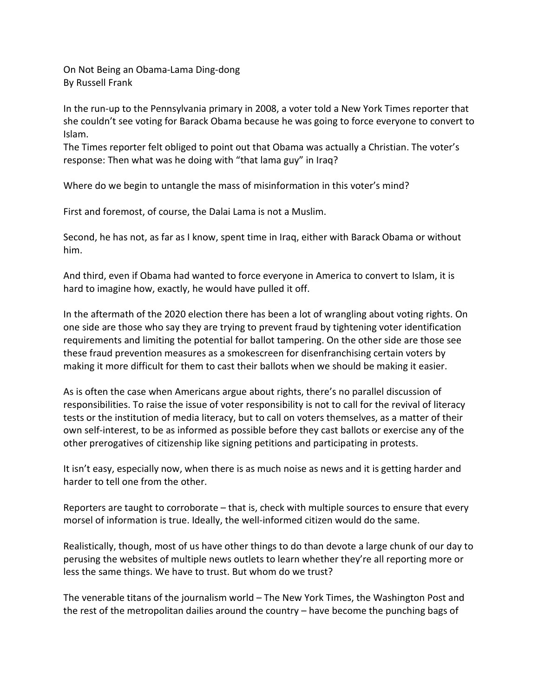On Not Being an Obama-Lama Ding-dong By Russell Frank

In the run-up to the Pennsylvania primary in 2008, a voter told a New York Times reporter that she couldn't see voting for Barack Obama because he was going to force everyone to convert to Islam.

The Times reporter felt obliged to point out that Obama was actually a Christian. The voter's response: Then what was he doing with "that lama guy" in Iraq?

Where do we begin to untangle the mass of misinformation in this voter's mind?

First and foremost, of course, the Dalai Lama is not a Muslim.

Second, he has not, as far as I know, spent time in Iraq, either with Barack Obama or without him.

And third, even if Obama had wanted to force everyone in America to convert to Islam, it is hard to imagine how, exactly, he would have pulled it off.

In the aftermath of the 2020 election there has been a lot of wrangling about voting rights. On one side are those who say they are trying to prevent fraud by tightening voter identification requirements and limiting the potential for ballot tampering. On the other side are those see these fraud prevention measures as a smokescreen for disenfranchising certain voters by making it more difficult for them to cast their ballots when we should be making it easier.

As is often the case when Americans argue about rights, there's no parallel discussion of responsibilities. To raise the issue of voter responsibility is not to call for the revival of literacy tests or the institution of media literacy, but to call on voters themselves, as a matter of their own self-interest, to be as informed as possible before they cast ballots or exercise any of the other prerogatives of citizenship like signing petitions and participating in protests.

It isn't easy, especially now, when there is as much noise as news and it is getting harder and harder to tell one from the other.

Reporters are taught to corroborate – that is, check with multiple sources to ensure that every morsel of information is true. Ideally, the well-informed citizen would do the same.

Realistically, though, most of us have other things to do than devote a large chunk of our day to perusing the websites of multiple news outlets to learn whether they're all reporting more or less the same things. We have to trust. But whom do we trust?

The venerable titans of the journalism world – The New York Times, the Washington Post and the rest of the metropolitan dailies around the country – have become the punching bags of